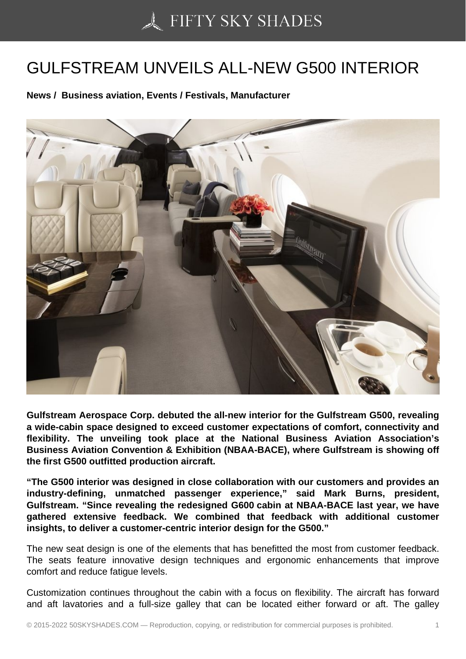## [GULFSTREAM UNVEI](https://50skyshades.com)LS ALL-NEW G500 INTERIOR

News / Business aviation, Events / Festivals, Manufacturer

Gulfstream Aerospace Corp. debuted the all-new interior for the Gulfstream G500, revealing a wide-cabin space designed to exceed customer expectations of comfort, connectivity and flexibility. The unveiling took place at the National Business Aviation Association's Business Aviation Convention & Exhibition (NBAA-BACE), where Gulfstream is showing off the first G500 outfitted production aircraft.

"The G500 interior was designed in close collaboration with our customers and provides an industry-defining, unmatched passenger experience," said Mark Burns, president, Gulfstream. "Since revealing the redesigned G600 cabin at NBAA-BACE last year, we have gathered extensive feedback. We combined that feedback with additional customer insights, to deliver a customer-centric interior design for the G500."

The new seat design is one of the elements that has benefitted the most from customer feedback. The seats feature innovative design techniques and ergonomic enhancements that improve comfort and reduce fatigue levels.

Customization continues throughout the cabin with a focus on flexibility. The aircraft has forward and aft lavatories and a full-size galley that can be located either forward or aft. The galley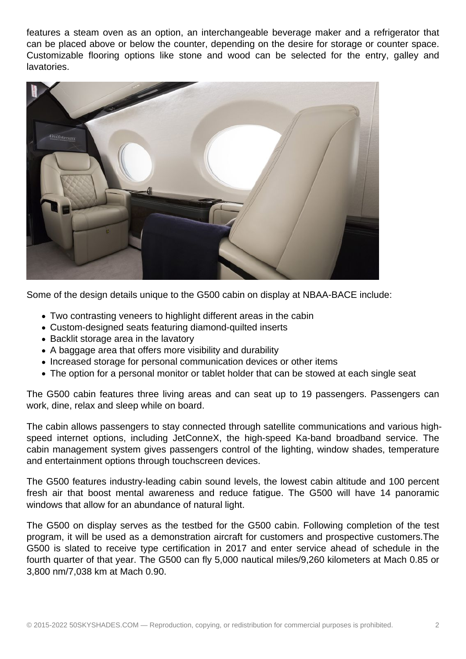features a steam oven as an option, an interchangeable beverage maker and a refrigerator that can be placed above or below the counter, depending on the desire for storage or counter space. Customizable flooring options like stone and wood can be selected for the entry, galley and lavatories.



Some of the design details unique to the G500 cabin on display at NBAA-BACE include:

- Two contrasting veneers to highlight different areas in the cabin
- Custom-designed seats featuring diamond-quilted inserts
- Backlit storage area in the lavatory
- A baggage area that offers more visibility and durability
- Increased storage for personal communication devices or other items
- The option for a personal monitor or tablet holder that can be stowed at each single seat

The G500 cabin features three living areas and can seat up to 19 passengers. Passengers can work, dine, relax and sleep while on board.

The cabin allows passengers to stay connected through satellite communications and various highspeed internet options, including JetConneX, the high-speed Ka-band broadband service. The cabin management system gives passengers control of the lighting, window shades, temperature and entertainment options through touchscreen devices.

The G500 features industry-leading cabin sound levels, the lowest cabin altitude and 100 percent fresh air that boost mental awareness and reduce fatigue. The G500 will have 14 panoramic windows that allow for an abundance of natural light.

The G500 on display serves as the testbed for the G500 cabin. Following completion of the test program, it will be used as a demonstration aircraft for customers and prospective customers.The G500 is slated to receive type certification in 2017 and enter service ahead of schedule in the fourth quarter of that year. The G500 can fly 5,000 nautical miles/9,260 kilometers at Mach 0.85 or 3,800 nm/7,038 km at Mach 0.90.